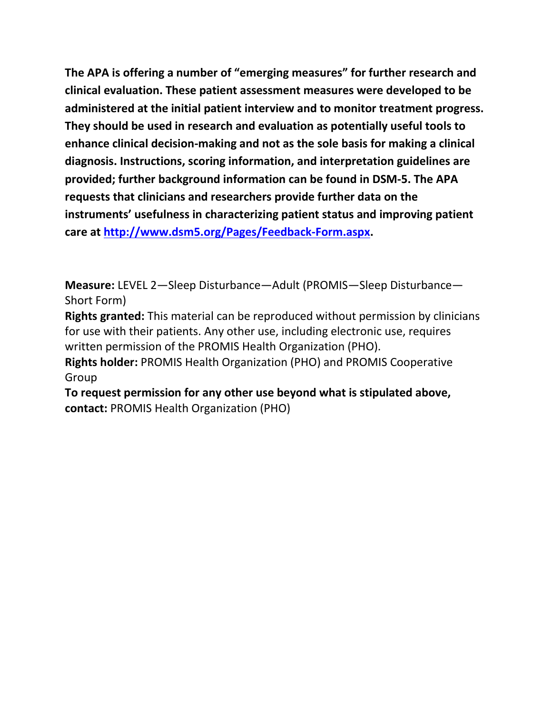**The APA is offering a number of "emerging measures" for further research and clinical evaluation. These patient assessment measures were developed to be administered at the initial patient interview and to monitor treatment progress. They should be used in research and evaluation as potentially useful tools to enhance clinical decision-making and not as the sole basis for making a clinical diagnosis. Instructions, scoring information, and interpretation guidelines are provided; further background information can be found in DSM-5. The APA requests that clinicians and researchers provide further data on the instruments' usefulness in characterizing patient status and improving patient care at [http://www.dsm5.org/Pages/Feedback-Form.aspx.](http://www.dsm5.org/Pages/Feedback-Form.aspx)**

**Measure:** LEVEL 2—Sleep Disturbance—Adult (PROMIS—Sleep Disturbance— Short Form)

**Rights granted:** This material can be reproduced without permission by clinicians for use with their patients. Any other use, including electronic use, requires written permission of the PROMIS Health Organization (PHO).

**Rights holder:** PROMIS Health Organization (PHO) and PROMIS Cooperative Group

**To request permission for any other use beyond what is stipulated above, contact:** PROMIS Health Organization (PHO)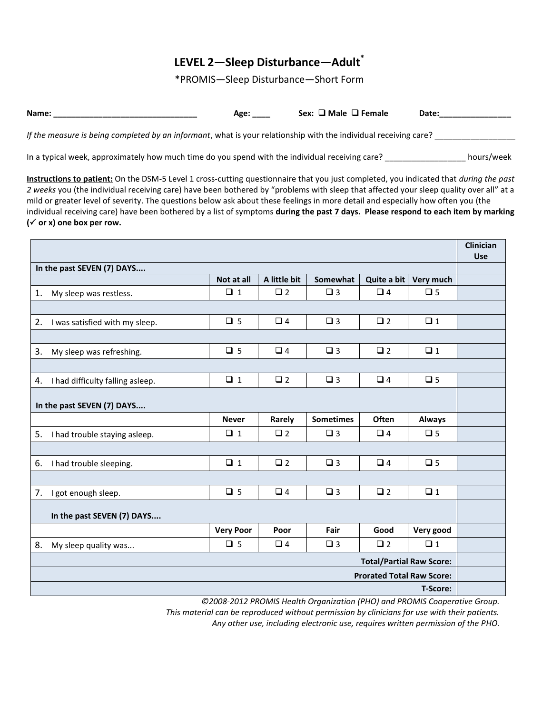## **LEVEL 2—Sleep Disturbance—Adult\***

\*PROMIS—Sleep Disturbance—Short Form

| Name:                                                                                                            | Age: | Sex: $\Box$ Male $\Box$ Female | Date: |            |
|------------------------------------------------------------------------------------------------------------------|------|--------------------------------|-------|------------|
| If the measure is being completed by an informant, what is your relationship with the individual receiving care? |      |                                |       |            |
| In a typical week, approximately how much time do you spend with the individual receiving care?                  |      |                                |       | hours/week |

**Instructions to patient:** On the DSM-5 Level 1 cross-cutting questionnaire that you just completed, you indicated that *during the past 2 weeks* you (the individual receiving care) have been bothered by "problems with sleep that affected your sleep quality over all" at a mild or greater level of severity. The questions below ask about these feelings in more detail and especially how often you (the individual receiving care) have been bothered by a list of symptoms **during the past 7 days. Please respond to each item by marking ( or x) one box per row.** 

|                                        |                  |              |                  |                                  |               | <b>Clinician</b><br>Use |
|----------------------------------------|------------------|--------------|------------------|----------------------------------|---------------|-------------------------|
| In the past SEVEN (7) DAYS             |                  |              |                  |                                  |               |                         |
|                                        | Not at all       | A little bit | Somewhat         | Quite a bit                      | Very much     |                         |
| 1. My sleep was restless.              | $\Box$ 1         | $\Box$ 2     | $\Box$ 3         | $\Box$ 4                         | $\Box$ 5      |                         |
|                                        |                  |              |                  |                                  |               |                         |
| 2. I was satisfied with my sleep.      | $\Box$ 5         | $\Box$ 4     | $\square$ 3      | $\square$ 2                      | $\Box$ 1      |                         |
|                                        |                  |              |                  |                                  |               |                         |
| 3.<br>My sleep was refreshing.         | $\Box$ 5         | $\Box$ 4     | $\square$ 3      | $\square$ 2                      | $\Box$ 1      |                         |
|                                        |                  |              |                  |                                  |               |                         |
| I had difficulty falling asleep.<br>4. | $\square$ 1      | $\Box$ 2     | $\Box$ 3         | $\Box$ 4                         | $\Box$ 5      |                         |
| In the past SEVEN (7) DAYS             |                  |              |                  |                                  |               |                         |
|                                        | <b>Never</b>     | Rarely       | <b>Sometimes</b> | Often                            | <b>Always</b> |                         |
| 5. I had trouble staying asleep.       | $\Box$ 1         | $\Box$ 2     | $\Box$ 3         | $\Box$ 4                         | $\Box$ 5      |                         |
|                                        |                  |              |                  |                                  |               |                         |
| 6.<br>I had trouble sleeping.          | $\Box$ 1         | $\square$ 2  | $\Box$ 3         | $\Box$ 4                         | $\Box$ 5      |                         |
|                                        |                  |              |                  |                                  |               |                         |
| 7. I got enough sleep.                 | $\Box$ 5         | $\Box$ 4     | $\square$ 3      | $\square$ 2                      | $\Box$ 1      |                         |
| In the past SEVEN (7) DAYS             |                  |              |                  |                                  |               |                         |
|                                        | <b>Very Poor</b> | Poor         | Fair             | Good                             | Very good     |                         |
| 8.<br>My sleep quality was             | $\Box$ 5         | $\Box$ 4     | $\square$ 3      | $\square$ 2                      | $\Box$ 1      |                         |
|                                        |                  |              |                  | <b>Total/Partial Raw Score:</b>  |               |                         |
|                                        |                  |              |                  | <b>Prorated Total Raw Score:</b> |               |                         |
|                                        |                  |              |                  |                                  | T-Score:      |                         |

*©2008-2012 PROMIS Health Organization (PHO) and PROMIS Cooperative Group.*

*This material can be reproduced without permission by clinicians for use with their patients.*

*Any other use, including electronic use, requires written permission of the PHO.*